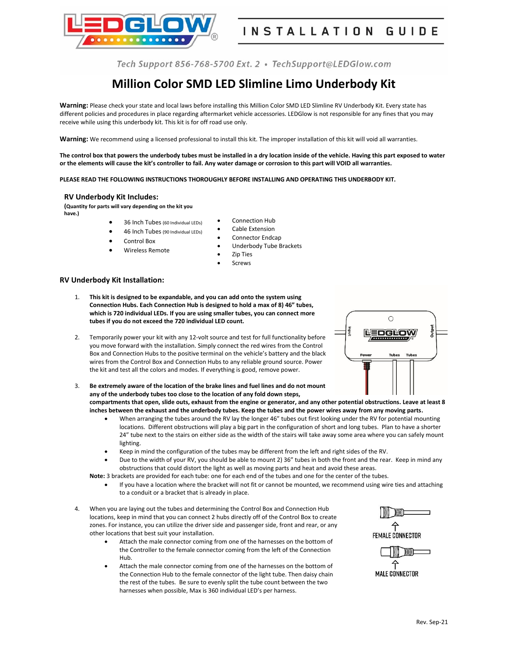

# **Million Color SMD LED Slimline Limo Underbody Kit**

**Warning:** Please check your state and local laws before installing this Million Color SMD LED Slimline RV Underbody Kit. Every state has different policies and procedures in place regarding aftermarket vehicle accessories. LEDGlow is not responsible for any fines that you may receive while using this underbody kit. This kit is for off road use only.

**Warning:** We recommend using a licensed professional to install this kit. The improper installation of this kit will void all warranties.

**The control box that powers the underbody tubes must be installed in a dry location inside of the vehicle. Having this part exposed to water or the elements will cause the kit's controller to fail. Any water damage or corrosion to this part will VOID all warranties.**

**PLEASE READ THE FOLLOWING INSTRUCTIONS THOROUGHLY BEFORE INSTALLING AND OPERATING THIS UNDERBODY KIT.**

# **RV Underbody Kit Includes:**

**(Quantity for parts will vary depending on the kit you have.)**

- 36 Inch Tubes (60 Individual LEDs) • 46 Inch Tubes (90 Individual LEDs)
- Connection Hub
- Cable Extension Connector Endcap
- Control Box
- Wireless Remote
- Underbody Tube Brackets
- **Zip Ties**
- **Screws**

# **RV Underbody Kit Installation:**

- 1. **This kit is designed to be expandable, and you can add onto the system using Connection Hubs. Each Connection Hub is designed to hold a max of 8) 46" tubes, which is 720 individual LEDs. If you are using smaller tubes, you can connect more tubes if you do not exceed the 720 individual LED count.**
- 2. Temporarily power your kit with any 12-volt source and test for full functionality before you move forward with the installation. Simply connect the red wires from the Control Box and Connection Hubs to the positive terminal on the vehicle's battery and the black wires from the Control Box and Connection Hubs to any reliable ground source. Power the kit and test all the colors and modes. If everything is good, remove power.
- 3. **Be extremely aware of the location of the brake lines and fuel lines and do not mount any of the underbody tubes too close to the location of any fold down steps, compartments that open, slide outs, exhaust from the engine or generator, and any other potential obstructions. Leave at least 8 inches between the exhaust and the underbody tubes. Keep the tubes and the power wires away from any moving parts.**
	- When arranging the tubes around the RV lay the longer 46" tubes out first looking under the RV for potential mounting locations. Different obstructions will play a big part in the configuration of short and long tubes. Plan to have a shorter 24" tube next to the stairs on either side as the width of the stairs will take away some area where you can safely mount lighting.
	- Keep in mind the configuration of the tubes may be different from the left and right sides of the RV.
	- Due to the width of your RV, you should be able to mount 2) 36" tubes in both the front and the rear. Keep in mind any obstructions that could distort the light as well as moving parts and heat and avoid these areas.

**Note:** 3 brackets are provided for each tube: one for each end of the tubes and one for the center of the tubes.

- If you have a location where the bracket will not fit or cannot be mounted, we recommend using wire ties and attaching to a conduit or a bracket that is already in place.
- 4. When you are laying out the tubes and determining the Control Box and Connection Hub locations, keep in mind that you can connect 2 hubs directly off of the Control Box to create zones. For instance, you can utilize the driver side and passenger side, front and rear, or any other locations that best suit your installation.
	- Attach the male connector coming from one of the harnesses on the bottom of the Controller to the female connector coming from the left of the Connection Hub.
	- Attach the male connector coming from one of the harnesses on the bottom of the Connection Hub to the female connector of the light tube. Then daisy chain the rest of the tubes. Be sure to evenly split the tube count between the two harnesses when possible, Max is 360 individual LED's per harness.





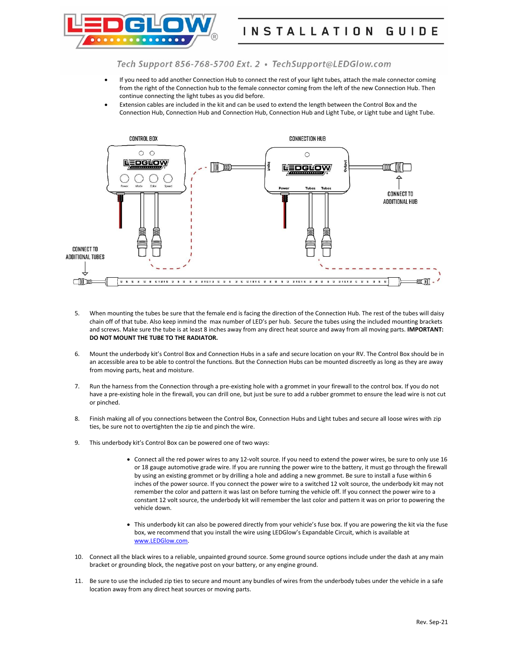

- If you need to add another Connection Hub to connect the rest of your light tubes, attach the male connector coming from the right of the Connection hub to the female connector coming from the left of the new Connection Hub. Then continue connecting the light tubes as you did before.
- Extension cables are included in the kit and can be used to extend the length between the Control Box and the Connection Hub, Connection Hub and Connection Hub, Connection Hub and Light Tube, or Light tube and Light Tube.



- 5. When mounting the tubes be sure that the female end is facing the direction of the Connection Hub. The rest of the tubes will daisy chain off of that tube. Also keep inmind the max number of LED's per hub. Secure the tubes using the included mounting brackets and screws. Make sure the tube is at least 8 inches away from any direct heat source and away from all moving parts. **IMPORTANT: DO NOT MOUNT THE TUBE TO THE RADIATOR.**
- 6. Mount the underbody kit's Control Box and Connection Hubs in a safe and secure location on your RV. The Control Box should be in an accessible area to be able to control the functions. But the Connection Hubs can be mounted discreetly as long as they are away from moving parts, heat and moisture.
- 7. Run the harness from the Connection through a pre-existing hole with a grommet in your firewall to the control box. If you do not have a pre-existing hole in the firewall, you can drill one, but just be sure to add a rubber grommet to ensure the lead wire is not cut or pinched.
- 8. Finish making all of you connections between the Control Box, Connection Hubs and Light tubes and secure all loose wires with zip ties, be sure not to overtighten the zip tie and pinch the wire.
- 9. This underbody kit's Control Box can be powered one of two ways:
	- Connect all the red power wires to any 12-volt source. If you need to extend the power wires, be sure to only use 16 or 18 gauge automotive grade wire. If you are running the power wire to the battery, it must go through the firewall by using an existing grommet or by drilling a hole and adding a new grommet. Be sure to install a fuse within 6 inches of the power source. If you connect the power wire to a switched 12 volt source, the underbody kit may not remember the color and pattern it was last on before turning the vehicle off. If you connect the power wire to a constant 12 volt source, the underbody kit will remember the last color and pattern it was on prior to powering the vehicle down.
	- This underbody kit can also be powered directly from your vehicle's fuse box. If you are powering the kit via the fuse box, we recommend that you install the wire using LEDGlow's Expandable Circuit, which is available at [www.LEDGlow.com.](http://www.ledglow.com/)
- 10. Connect all the black wires to a reliable, unpainted ground source. Some ground source options include under the dash at any main bracket or grounding block, the negative post on your battery, or any engine ground.
- 11. Be sure to use the included zip ties to secure and mount any bundles of wires from the underbody tubes under the vehicle in a safe location away from any direct heat sources or moving parts.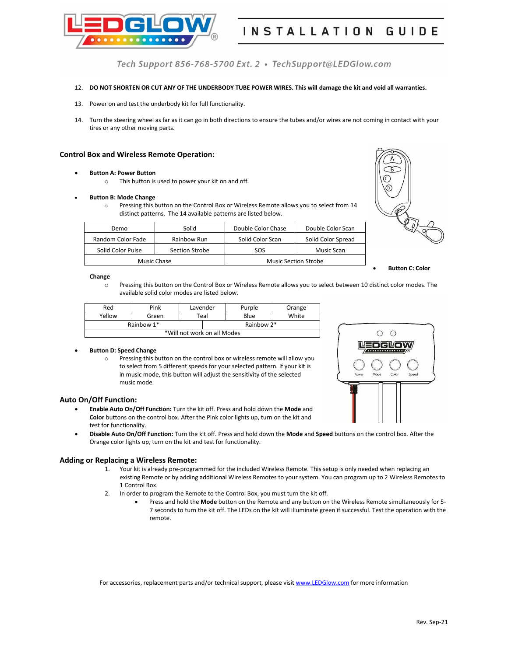

# 12. **DO NOT SHORTEN OR CUT ANY OF THE UNDERBODY TUBE POWER WIRES. This will damage the kit and void all warranties.**

- 13. Power on and test the underbody kit for full functionality.
- 14. Turn the steering wheel as far as it can go in both directions to ensure the tubes and/or wires are not coming in contact with your tires or any other moving parts.

## **Control Box and Wireless Remote Operation:**

#### • **Button A: Power Button**

o This button is used to power your kit on and off.

#### • **Button B: Mode Change**

o Pressing this button on the Control Box or Wireless Remote allows you to select from 14 distinct patterns. The 14 available patterns are listed below.

| Demo              | Solid          | Double Color Chase          | Double Color Scan  |
|-------------------|----------------|-----------------------------|--------------------|
| Random Color Fade | Rainbow Run    | Solid Color Scan            | Solid Color Spread |
| Solid Color Pulse | Section Strobe |                             | Music Scan         |
| Music Chase       |                | <b>Music Section Strobe</b> |                    |



• **Button C: Color** 

#### **Change**

o Pressing this button on the Control Box or Wireless Remote allows you to select between 10 distinct color modes. The available solid color modes are listed below.

| Red                         | Pink  | Lavender |            | Purple | Orange |  |  |
|-----------------------------|-------|----------|------------|--------|--------|--|--|
| Yellow                      | Green | Teal     |            | Blue   | White  |  |  |
| Rainbow 1*                  |       |          | Rainbow 2* |        |        |  |  |
| *Will not work on all Modes |       |          |            |        |        |  |  |

### • **Button D: Speed Change**

o Pressing this button on the control box or wireless remote will allow you to select from 5 different speeds for your selected pattern. If your kit is in music mode, this button will adjust the sensitivity of the selected music mode.



- **Enable Auto On/Off Function:** Turn the kit off. Press and hold down the **Mode** and **Color** buttons on the control box. After the Pink color lights up, turn on the kit and test for functionality.
- **Disable Auto On/Off Function:** Turn the kit off. Press and hold down the **Mode** and **Speed** buttons on the control box. After the Orange color lights up, turn on the kit and test for functionality.

# **Adding or Replacing a Wireless Remote:**

- 1. Your kit is already pre-programmed for the included Wireless Remote. This setup is only needed when replacing an existing Remote or by adding additional Wireless Remotes to your system. You can program up to 2 Wireless Remotes to 1 Control Box.
- 2. In order to program the Remote to the Control Box, you must turn the kit off.
	- Press and hold the **Mode** button on the Remote and any button on the Wireless Remote simultaneously for 5- 7 seconds to turn the kit off. The LEDs on the kit will illuminate green if successful. Test the operation with the remote.

For accessories, replacement parts and/or technical support, please visit [www.LEDGlow.com](http://www.ledglow.com/) for more information